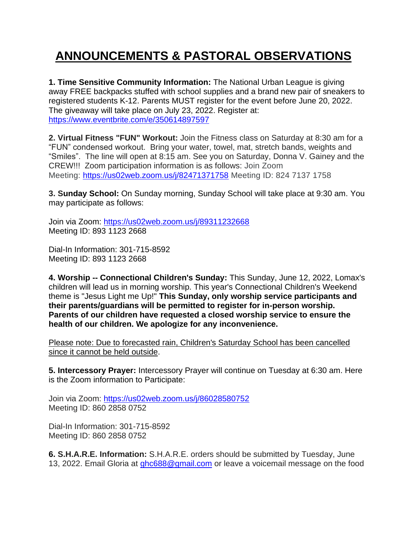## **ANNOUNCEMENTS & PASTORAL OBSERVATIONS**

**1. Time Sensitive Community Information:** The National Urban League is giving away FREE backpacks stuffed with school supplies and a brand new pair of sneakers to registered students K-12. Parents MUST register for the event before June 20, 2022. The giveaway will take place on July 23, 2022. Register at: <https://www.eventbrite.com/e/350614897597>

**2. Virtual Fitness "FUN" Workout:** Join the Fitness class on Saturday at 8:30 am for a "FUN" condensed workout. Bring your water, towel, mat, stretch bands, weights and "Smiles". The line will open at 8:15 am. See you on Saturday, Donna V. Gainey and the CREW!!! Zoom participation information is as follows: Join Zoom Meeting: [https://us02web.zoom.us/j/82471371758](https://nam12.safelinks.protection.outlook.com/?url=https%3A%2F%2Fwww.google.com%2Furl%3Fq%3Dhttps%3A%2F%2Fus02web.zoom.us%2Fj%2F82471371758%26sa%3DD%26source%3Dcalendar%26usd%3D2%26usg%3DAOvVaw3Rr5ppJbraDqvychIyG1kh&data=05%7C01%7C%7C303b005cd3b44379e67508da3aa43477%7C84df9e7fe9f640afb435aaaaaaaaaaaa%7C1%7C0%7C637886775187028721%7CUnknown%7CTWFpbGZsb3d8eyJWIjoiMC4wLjAwMDAiLCJQIjoiV2luMzIiLCJBTiI6Ik1haWwiLCJXVCI6Mn0%3D%7C3000%7C%7C%7C&sdata=2y%2FybyX9kTqORhcCAKAxOl0UpU0TkU%2B%2F4QoRGJwvWUM%3D&reserved=0) Meeting ID: 824 7137 1758

**3. Sunday School:** On Sunday morning, Sunday School will take place at 9:30 am. You may participate as follows:

Join via Zoom: [https://us02web.zoom.us/j/89311232668](https://nam12.safelinks.protection.outlook.com/?url=https%3A%2F%2Fus02web.zoom.us%2Fj%2F89311232668&data=05%7C01%7C%7Cb40d9c59f95b4d0feb4708da40247219%7C84df9e7fe9f640afb435aaaaaaaaaaaa%7C1%7C0%7C637892823139547818%7CUnknown%7CTWFpbGZsb3d8eyJWIjoiMC4wLjAwMDAiLCJQIjoiV2luMzIiLCJBTiI6Ik1haWwiLCJXVCI6Mn0%3D%7C3000%7C%7C%7C&sdata=vGQXdRxjY01lDdnRbaRi4%2FwTz92YeBXLhySkfhHZcEo%3D&reserved=0) Meeting ID: 893 1123 2668

Dial-In Information: 301-715-8592 Meeting ID: 893 1123 2668

**4. Worship -- Connectional Children's Sunday:** This Sunday, June 12, 2022, Lomax's children will lead us in morning worship. This year's Connectional Children's Weekend theme is "Jesus Light me Up!" **This Sunday, only worship service participants and their parents/guardians will be permitted to register for in-person worship. Parents of our children have requested a closed worship service to ensure the health of our children. We apologize for any inconvenience.**

Please note: Due to forecasted rain, Children's Saturday School has been cancelled since it cannot be held outside.

**5. Intercessory Prayer:** Intercessory Prayer will continue on Tuesday at 6:30 am. Here is the Zoom information to Participate:

Join via Zoom: [https://us02web.zoom.us/j/86028580752](https://nam12.safelinks.protection.outlook.com/?url=https%3A%2F%2Fus02web.zoom.us%2Fj%2F86028580752&data=05%7C01%7C%7Cb40d9c59f95b4d0feb4708da40247219%7C84df9e7fe9f640afb435aaaaaaaaaaaa%7C1%7C0%7C637892823139547818%7CUnknown%7CTWFpbGZsb3d8eyJWIjoiMC4wLjAwMDAiLCJQIjoiV2luMzIiLCJBTiI6Ik1haWwiLCJXVCI6Mn0%3D%7C3000%7C%7C%7C&sdata=cIlfULeLLhI5Ex0Uy5Jzt4qwXRBWnOXaOmn7sM966NU%3D&reserved=0) Meeting ID: 860 2858 0752

Dial-In Information: 301-715-8592 Meeting ID: 860 2858 0752

**6. S.H.A.R.E. Information:** S.H.A.R.E. orders should be submitted by Tuesday, June 13, 2022. Email Gloria at [ghc688@gmail.com](mailto:ghc688@gmail.com) or leave a voicemail message on the food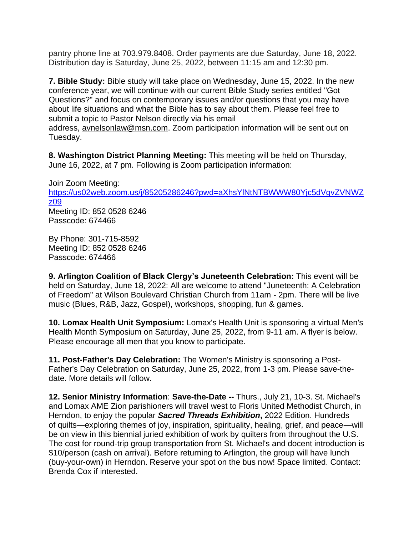pantry phone line at 703.979.8408. Order payments are due Saturday, June 18, 2022. Distribution day is Saturday, June 25, 2022, between 11:15 am and 12:30 pm.

**7. Bible Study:** Bible study will take place on Wednesday, June 15, 2022. In the new conference year, we will continue with our current Bible Study series entitled "Got Questions?" and focus on contemporary issues and/or questions that you may have about life situations and what the Bible has to say about them. Please feel free to submit a topic to Pastor Nelson directly via his email address, [avnelsonlaw@msn.com.](mailto:avnelsonlaw@msn.com) Zoom participation information will be sent out on Tuesday.

**8. Washington District Planning Meeting:** This meeting will be held on Thursday, June 16, 2022, at 7 pm. Following is Zoom participation information:

Join Zoom Meeting: [https://us02web.zoom.us/j/85205286246?pwd=aXhsYlNtNTBWWW80Yjc5dVgvZVNW](https://us02web.zoom.us/j/85205286246?pwd=aXhsYlNtNTBWWW80Yjc5dVgvZVN)Z z09 Meeting ID: 852 0528 6246 Passcode: 674466

By Phone: 301-715-8592 Meeting ID: 852 0528 6246 Passcode: 674466

**9. Arlington Coalition of Black Clergy's Juneteenth Celebration:** This event will be held on Saturday, June 18, 2022: All are welcome to attend "Juneteenth: A Celebration of Freedom" at Wilson Boulevard Christian Church from 11am - 2pm. There will be live music (Blues, R&B, Jazz, Gospel), workshops, shopping, fun & games.

**10. Lomax Health Unit Symposium:** Lomax's Health Unit is sponsoring a virtual Men's Health Month Symposium on Saturday, June 25, 2022, from 9-11 am. A flyer is below. Please encourage all men that you know to participate.

**11. Post-Father's Day Celebration:** The Women's Ministry is sponsoring a Post-Father's Day Celebration on Saturday, June 25, 2022, from 1-3 pm. Please save-thedate. More details will follow.

**12. Senior Ministry Information**: **Save-the-Date --** Thurs., July 21, 10-3. St. Michael's and Lomax AME Zion parishioners will travel west to Floris United Methodist Church, in Herndon, to enjoy the popular *Sacred Threads Exhibition***,** 2022 Edition. Hundreds of quilts—exploring themes of joy, inspiration, spirituality, healing, grief, and peace—will be on view in this biennial juried exhibition of work by quilters from throughout the U.S. The cost for round-trip group transportation from St. Michael's and docent introduction is \$10/person (cash on arrival). Before returning to Arlington, the group will have lunch (buy-your-own) in Herndon. Reserve your spot on the bus now! Space limited. Contact: Brenda Cox if interested.